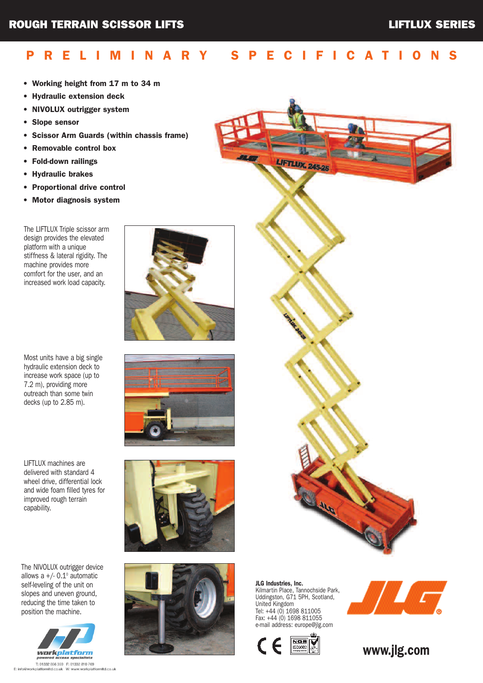## P R E L I M I N A R Y S P E C I F I C A T I O N S

- Working height from 17 m to 34 m
- Hydraulic extension deck
- NIVOLUX outrigger system
- Slope sensor
- Scissor Arm Guards (within chassis frame)
- Removable control box
- Fold-down railings
- Hydraulic brakes
- Proportional drive control
- Motor diagnosis system

The LIFTLUX Triple scissor arm design provides the elevated platform with a unique stiffness & lateral rigidity. The machine provides more comfort for the user, and an increased work load capacity.

Most units have a big single hydraulic extension deck to increase work space (up to 7.2 m), providing more outreach than some twin decks (up to 2.85 m).

LIFTLUX machines are delivered with standard 4 wheel drive, differential lock and wide foam filled tyres for improved rough terrain capability.

The NIVOLUX outrigger device allows a  $+/- 0.1°$  automatic self-leveling of the unit on slopes and uneven ground, reducing the time taken to position the machine.



T: 01332 856 359 F: 01332 810 769<br>E: info@workplatformitd.co.uk W: www.workplat nlatformitd.co.uk









JLG Industries, Inc. Kilmartin Place, Tannochside Park, Uddingston, G71 5PH, Scotland, United Kingdom Tel: +44 (0) 1698 811005 Fax: +44 (0) 1698 811055 e-mail address: europe@jlg.com





www.jlg.com

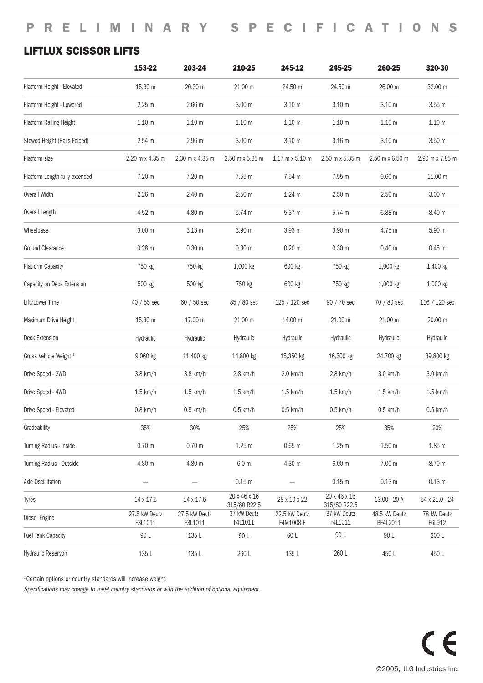## LIFTLUX SCISSOR LIFTS

|                                   | 153-22                   | 203-24                   | 210-25                       | 245-12                                 | 245-25                       | 260-25                    | 320-30                |
|-----------------------------------|--------------------------|--------------------------|------------------------------|----------------------------------------|------------------------------|---------------------------|-----------------------|
| Platform Height - Elevated        | 15.30 m                  | 20.30 m                  | 21.00 m                      | 24.50 m                                | 24.50 m                      | 26.00 m                   | 32.00 m               |
| Platform Height - Lowered         | 2.25 m                   | 2.66 <sub>m</sub>        | 3.00 <sub>m</sub>            | 3.10 <sub>m</sub>                      | 3.10 <sub>m</sub>            | 3.10 <sub>m</sub>         | 3.55m                 |
| Platform Railing Height           | 1.10 <sub>m</sub>        | 1.10 <sub>m</sub>        | 1.10 <sub>m</sub>            | 1.10 <sub>m</sub>                      | 1.10 <sub>m</sub>            | 1.10 <sub>m</sub>         | 1.10 <sub>m</sub>     |
| Stowed Height (Rails Folded)      | 2.54 m                   | 2.96 m                   | 3.00 <sub>m</sub>            | 3.10 <sub>m</sub>                      | 3.16 <sub>m</sub>            | 3.10 <sub>m</sub>         | 3.50 <sub>m</sub>     |
| Platform size                     | 2.20 m x 4.35 m          | 2.30 m x 4.35 m          | 2.50 m x 5.35 m              | $1.17 \text{ m} \times 5.10 \text{ m}$ | 2.50 m x 5.35 m              | 2.50 m x 6.50 m           | 2.90 m x 7.85 m       |
| Platform Length fully extended    | 7.20 m                   | 7.20 m                   | 7.55 m                       | 7.54 m                                 | 7.55 m                       | 9.60 <sub>m</sub>         | 11.00 m               |
| Overall Width                     | 2.26 <sub>m</sub>        | 2.40 <sub>m</sub>        | 2.50 <sub>m</sub>            | 1.24 m                                 | 2.50 <sub>m</sub>            | 2.50 <sub>m</sub>         | 3.00 <sub>m</sub>     |
| Overall Length                    | 4.52 m                   | 4.80 m                   | 5.74 m                       | 5.37 m                                 | 5.74 m                       | 6.88 m                    | 8.40 m                |
| Wheelbase                         | 3.00 <sub>m</sub>        | 3.13 <sub>m</sub>        | 3.90 m                       | 3.93 <sub>m</sub>                      | 3.90 m                       | 4.75 m                    | 5.90 m                |
| Ground Clearance                  | $0.28 \; m$              | 0.30 m                   | 0.30 <sub>m</sub>            | 0.20 <sub>m</sub>                      | 0.30 m                       | 0.40 m                    | 0.45 m                |
| Platform Capacity                 | 750 kg                   | 750 kg                   | 1,000 kg                     | 600 kg                                 | 750 kg                       | 1,000 kg                  | 1,400 kg              |
| Capacity on Deck Extension        | 500 kg                   | 500 kg                   | 750 kg                       | 600 kg                                 | 750 kg                       | 1,000 kg                  | 1,000 kg              |
| Lift/Lower Time                   | 40 / 55 sec              | 60 / 50 sec              | 85 / 80 sec                  | 125 / 120 sec                          | 90 / 70 sec                  | 70 / 80 sec               | 116 / 120 sec         |
| Maximum Drive Height              | 15.30 m                  | 17.00 m                  | 21.00 m                      | 14.00 m                                | 21.00 m                      | 21.00 m                   | 20.00 m               |
| Deck Extension                    | Hydraulic                | Hydraulic                | Hydraulic                    | Hydraulic                              | Hydraulic                    | Hydraulic                 | Hydraulic             |
| Gross Vehicle Weight <sup>1</sup> | 9,060 kg                 | 11,400 kg                | 14,800 kg                    | 15,350 kg                              | 16,300 kg                    | 24,700 kg                 | 39,800 kg             |
| Drive Speed - 2WD                 | $3.8$ km/h               | $3.8$ km/h               | $2.8$ km/h                   | $2.0$ km/h                             | $2.8 \text{ km/h}$           | $3.0 \text{ km/h}$        | $3.0 \text{ km/h}$    |
| Drive Speed - 4WD                 | $1.5 \text{ km/h}$       | $1.5 \text{ km/h}$       | $1.5 \text{ km/h}$           | $1.5 \text{ km/h}$                     | $1.5 \text{ km/h}$           | $1.5 \text{ km/h}$        | $1.5 \text{ km/h}$    |
| Drive Speed - Elevated            | $0.8$ km/h               | $0.5$ km/h               | $0.5$ km/h                   | $0.5$ km/h                             | $0.5$ km/h                   | $0.5$ km/h                | $0.5$ km/h            |
| Gradeability                      | 35%                      | 30%                      | 25%                          | 25%                                    | 25%                          | 35%                       | 20%                   |
| Turning Radius - Inside           | 0.70 <sub>m</sub>        | $0.70$ m                 | 1.25m                        | $0.65$ m                               | 1.25m                        | 1.50 <sub>m</sub>         | 1.85m                 |
| Turning Radius - Outside          | 4.80 m                   | 4.80 m                   | 6.0 <sub>m</sub>             | 4.30 m                                 | 6.00 m                       | 7.00 m                    | 8.70 m                |
| Axle Oscillitation                |                          | $\qquad \qquad -$        | $0.15 \text{ m}$             |                                        | $0.15$ m                     | 0.13 <sub>m</sub>         | 0.13 <sub>m</sub>     |
| Tyres                             | 14 x 17.5                | 14 x 17.5                | 20 x 46 x 16<br>315/80 R22.5 | 28 x 10 x 22                           | 20 x 46 x 16<br>315/80 R22.5 | 13.00 - 20 A              | 54 x 21.0 - 24        |
| Diesel Engine                     | 27.5 kW Deutz<br>F3L1011 | 27.5 kW Deutz<br>F3L1011 | 37 kW Deutz<br>F4L1011       | 22.5 kW Deutz<br>F4M1008 F             | 37 kW Deutz<br>F4L1011       | 48.5 kW Deutz<br>BF4L2011 | 78 kW Deutz<br>F6L912 |
| Fuel Tank Capacity                | 90 L                     | 135 L                    | 90 L                         | 60 L                                   | 90 L                         | 90 L                      | 200 L                 |
| Hydraulic Reservoir               | 135 L                    | 135 L                    | 260 L                        | 135 L                                  | 260 L                        | 450L                      | 450 L                 |

<sup>1</sup> Certain options or country standards will increase weight.

Specifications may change to meet country standards or with the addition of optional equipment.